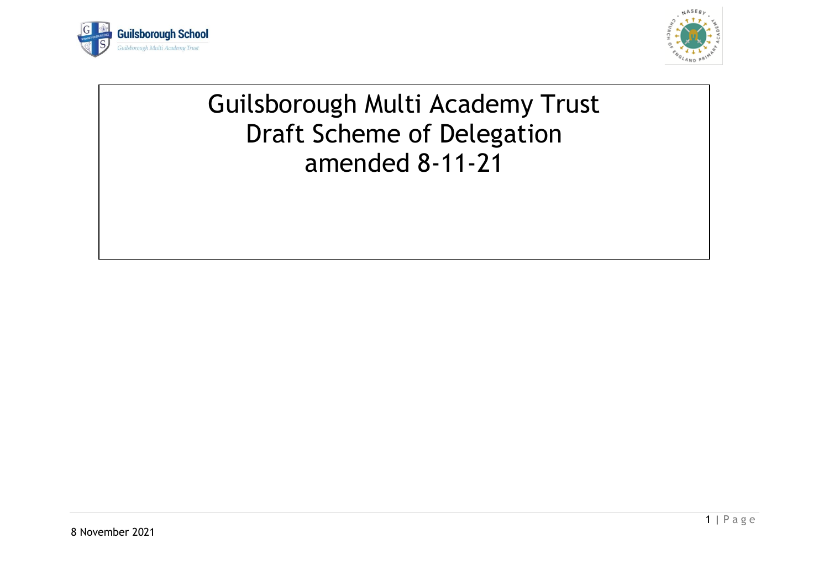



## Guilsborough Multi Academy Trust Draft Scheme of Delegation amended 8-11-21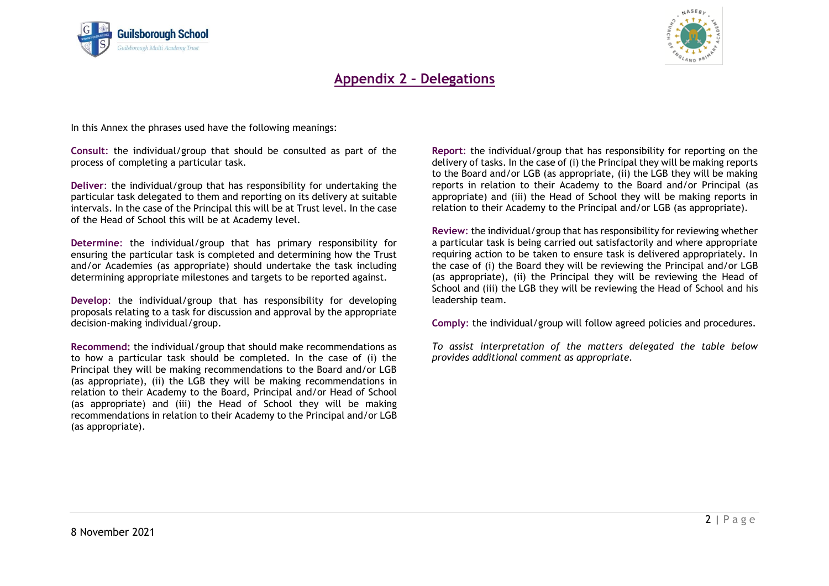



## **Appendix 2 – Delegations**

In this Annex the phrases used have the following meanings:

**Consult**: the individual/group that should be consulted as part of the process of completing a particular task.

**Deliver**: the individual/group that has responsibility for undertaking the particular task delegated to them and reporting on its delivery at suitable intervals. In the case of the Principal this will be at Trust level. In the case of the Head of School this will be at Academy level.

**Determine**: the individual/group that has primary responsibility for ensuring the particular task is completed and determining how the Trust and/or Academies (as appropriate) should undertake the task including determining appropriate milestones and targets to be reported against.

**Develop**: the individual/group that has responsibility for developing proposals relating to a task for discussion and approval by the appropriate decision-making individual/group.

**Recommend:** the individual/group that should make recommendations as to how a particular task should be completed. In the case of (i) the Principal they will be making recommendations to the Board and/or LGB (as appropriate), (ii) the LGB they will be making recommendations in relation to their Academy to the Board, Principal and/or Head of School (as appropriate) and (iii) the Head of School they will be making recommendations in relation to their Academy to the Principal and/or LGB (as appropriate).

**Report**: the individual/group that has responsibility for reporting on the delivery of tasks. In the case of (i) the Principal they will be making reports to the Board and/or LGB (as appropriate, (ii) the LGB they will be making reports in relation to their Academy to the Board and/or Principal (as appropriate) and (iii) the Head of School they will be making reports in relation to their Academy to the Principal and/or LGB (as appropriate).

**Review**: the individual/group that has responsibility for reviewing whether a particular task is being carried out satisfactorily and where appropriate requiring action to be taken to ensure task is delivered appropriately. In the case of (i) the Board they will be reviewing the Principal and/or LGB (as appropriate), (ii) the Principal they will be reviewing the Head of School and (iii) the LGB they will be reviewing the Head of School and his leadership team.

**Comply**: the individual/group will follow agreed policies and procedures.

*To assist interpretation of the matters delegated the table below provides additional comment as appropriate.*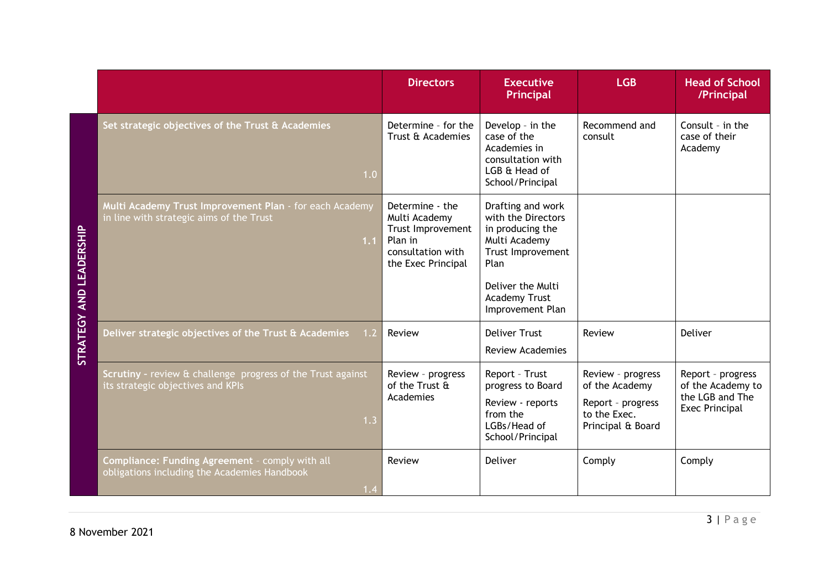|                         |                                                                                                            | <b>Directors</b>                                                                                            | <b>Executive</b><br>Principal                                                                                                  | <b>LGB</b>                                                                                    | <b>Head of School</b><br>/Principal                                                |
|-------------------------|------------------------------------------------------------------------------------------------------------|-------------------------------------------------------------------------------------------------------------|--------------------------------------------------------------------------------------------------------------------------------|-----------------------------------------------------------------------------------------------|------------------------------------------------------------------------------------|
|                         | Set strategic objectives of the Trust & Academies<br>1.0                                                   | Determine - for the<br>Trust & Academies                                                                    | Develop - in the<br>case of the<br>Academies in<br>consultation with<br>LGB & Head of<br>School/Principal                      | Recommend and<br>consult                                                                      | Consult - in the<br>case of their<br>Academy                                       |
| STRATEGY AND LEADERSHIP | Multi Academy Trust Improvement Plan - for each Academy<br>in line with strategic aims of the Trust<br>1.1 | Determine - the<br>Multi Academy<br>Trust Improvement<br>Plan in<br>consultation with<br>the Exec Principal | Drafting and work<br>with the Directors<br>in producing the<br>Multi Academy<br>Trust Improvement<br>Plan<br>Deliver the Multi |                                                                                               |                                                                                    |
|                         |                                                                                                            |                                                                                                             | <b>Academy Trust</b><br>Improvement Plan                                                                                       |                                                                                               |                                                                                    |
|                         | Deliver strategic objectives of the Trust & Academies<br>1.2                                               | Review                                                                                                      | <b>Deliver Trust</b><br><b>Review Academies</b>                                                                                | Review                                                                                        | Deliver                                                                            |
|                         | Scrutiny - review & challenge progress of the Trust against<br>its strategic objectives and KPIs<br>1.3    | Review - progress<br>of the Trust &<br>Academies                                                            | Report - Trust<br>progress to Board<br>Review - reports<br>from the<br>LGBs/Head of<br>School/Principal                        | Review - progress<br>of the Academy<br>Report - progress<br>to the Exec.<br>Principal & Board | Report - progress<br>of the Academy to<br>the LGB and The<br><b>Exec Principal</b> |
|                         | Compliance: Funding Agreement - comply with all<br>obligations including the Academies Handbook<br>1.4     | Review                                                                                                      | Deliver                                                                                                                        | Comply                                                                                        | Comply                                                                             |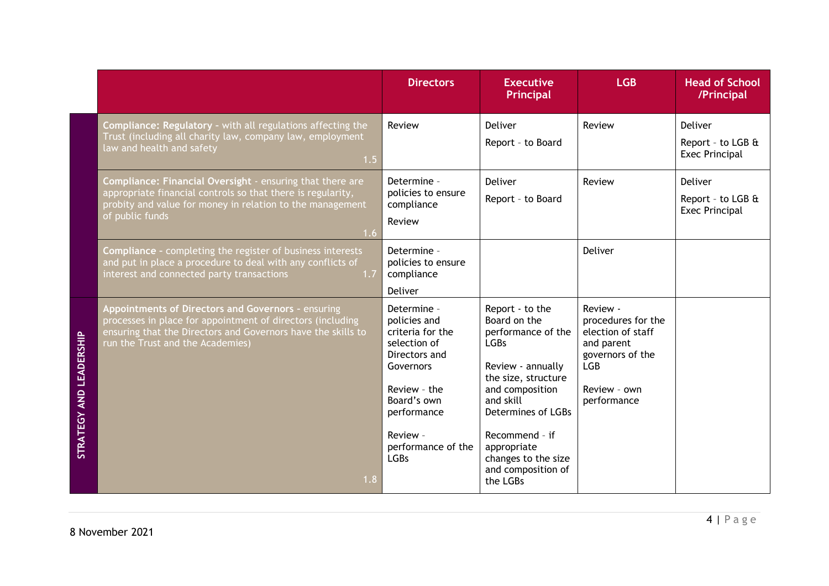|                         |                                                                                                                                                                                                                              | <b>Directors</b>                                                                                                                                                                             | <b>Executive</b><br>Principal                                                                                                                                                                                                                                    | <b>LGB</b>                                                                                                                         | <b>Head of School</b><br>/Principal                          |
|-------------------------|------------------------------------------------------------------------------------------------------------------------------------------------------------------------------------------------------------------------------|----------------------------------------------------------------------------------------------------------------------------------------------------------------------------------------------|------------------------------------------------------------------------------------------------------------------------------------------------------------------------------------------------------------------------------------------------------------------|------------------------------------------------------------------------------------------------------------------------------------|--------------------------------------------------------------|
|                         | Compliance: Regulatory - with all regulations affecting the<br>Trust (including all charity law, company law, employment<br>law and health and safety<br>1.5                                                                 | Review                                                                                                                                                                                       | Deliver<br>Report - to Board                                                                                                                                                                                                                                     | Review                                                                                                                             | <b>Deliver</b><br>Report - to LGB &<br><b>Exec Principal</b> |
|                         | Compliance: Financial Oversight - ensuring that there are<br>appropriate financial controls so that there is regularity,<br>probity and value for money in relation to the management<br>of public funds<br>1.6 <sub>1</sub> | Determine -<br>policies to ensure<br>compliance<br>Review                                                                                                                                    | Deliver<br>Report - to Board                                                                                                                                                                                                                                     | Review                                                                                                                             | Deliver<br>Report - to LGB &<br><b>Exec Principal</b>        |
|                         | <b>Compliance - completing the register of business interests</b><br>and put in place a procedure to deal with any conflicts of<br>interest and connected party transactions<br>1.7                                          | Determine -<br>policies to ensure<br>compliance<br>Deliver                                                                                                                                   |                                                                                                                                                                                                                                                                  | Deliver                                                                                                                            |                                                              |
| STRATEGY AND LEADERSHIP | Appointments of Directors and Governors - ensuring<br>processes in place for appointment of directors (including<br>ensuring that the Directors and Governors have the skills to<br>run the Trust and the Academies)<br>1.8  | Determine -<br>policies and<br>criteria for the<br>selection of<br>Directors and<br>Governors<br>Review - the<br>Board's own<br>performance<br>Review -<br>performance of the<br><b>LGBs</b> | Report - to the<br>Board on the<br>performance of the<br><b>LGBs</b><br>Review - annually<br>the size, structure<br>and composition<br>and skill<br>Determines of LGBs<br>Recommend - if<br>appropriate<br>changes to the size<br>and composition of<br>the LGBs | Review -<br>procedures for the<br>election of staff<br>and parent<br>governors of the<br><b>LGB</b><br>Review - own<br>performance |                                                              |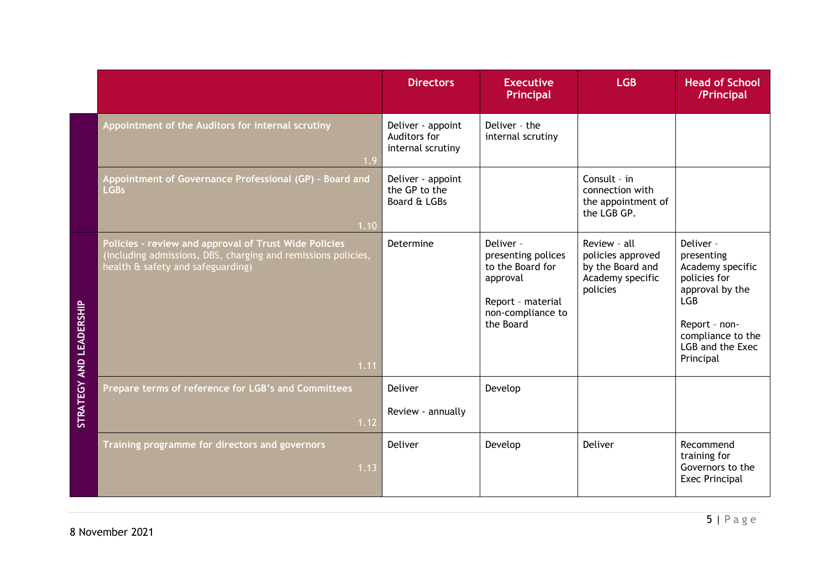|                         |                                                                                                                                                                     | <b>Directors</b>                                       | <b>Executive</b><br>Principal                                                                                          | <b>LGB</b>                                                                            | <b>Head of School</b><br>/Principal                                                                                                                                 |
|-------------------------|---------------------------------------------------------------------------------------------------------------------------------------------------------------------|--------------------------------------------------------|------------------------------------------------------------------------------------------------------------------------|---------------------------------------------------------------------------------------|---------------------------------------------------------------------------------------------------------------------------------------------------------------------|
|                         | Appointment of the Auditors for internal scrutiny<br>1.9                                                                                                            | Deliver - appoint<br>Auditors for<br>internal scrutiny | Deliver - the<br>internal scrutiny                                                                                     |                                                                                       |                                                                                                                                                                     |
|                         | Appointment of Governance Professional (GP) - Board and<br><b>LGBs</b><br>1.10                                                                                      | Deliver - appoint<br>the GP to the<br>Board & LGBs     |                                                                                                                        | Consult - $in$<br>connection with<br>the appointment of<br>the LGB GP.                |                                                                                                                                                                     |
| STRATEGY AND LEADERSHIP | Policies - review and approval of Trust Wide Policies<br>(including admissions, DBS, charging and remissions policies,<br>health & safety and safeguarding)<br>1.11 | Determine                                              | Deliver -<br>presenting polices<br>to the Board for<br>approval<br>Report - material<br>non-compliance to<br>the Board | Review - all<br>policies approved<br>by the Board and<br>Academy specific<br>policies | Deliver -<br>presenting<br>Academy specific<br>policies for<br>approval by the<br><b>LGB</b><br>Report - non-<br>compliance to the<br>LGB and the Exec<br>Principal |
|                         | Prepare terms of reference for LGB's and Committees<br>1.12                                                                                                         | Deliver<br>Review - annually                           | Develop                                                                                                                |                                                                                       |                                                                                                                                                                     |
|                         | Training programme for directors and governors<br>1.13                                                                                                              | Deliver                                                | Develop                                                                                                                | Deliver                                                                               | Recommend<br>training for<br>Governors to the<br><b>Exec Principal</b>                                                                                              |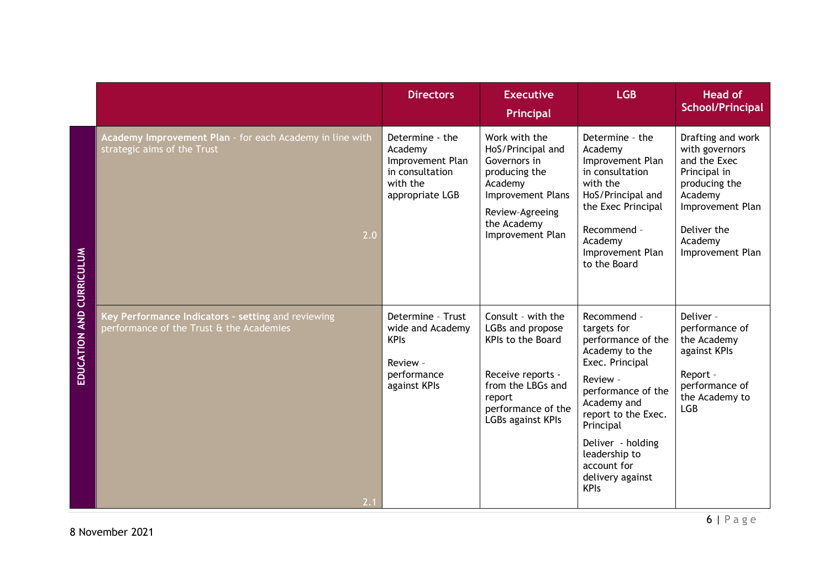|                   |                                                                                                       | <b>Directors</b>                                                                                 | <b>Executive</b><br>Principal                                                                                                                              | <b>LGB</b>                                                                                                                                                                                                                                                         | <b>Head of</b><br><b>School/Principal</b>                                                                                                                         |
|-------------------|-------------------------------------------------------------------------------------------------------|--------------------------------------------------------------------------------------------------|------------------------------------------------------------------------------------------------------------------------------------------------------------|--------------------------------------------------------------------------------------------------------------------------------------------------------------------------------------------------------------------------------------------------------------------|-------------------------------------------------------------------------------------------------------------------------------------------------------------------|
| <b>CURRICULUM</b> | Academy Improvement Plan - for each Academy in line with<br>strategic aims of the Trust<br>2.0        | Determine - the<br>Academy<br>Improvement Plan<br>in consultation<br>with the<br>appropriate LGB | Work with the<br>HoS/Principal and<br>Governors in<br>producing the<br>Academy<br>Improvement Plans<br>Review-Agreeing<br>the Academy<br>Improvement Plan  | Determine - the<br>Academy<br>Improvement Plan<br>in consultation<br>with the<br>HoS/Principal and<br>the Exec Principal<br>Recommend -<br>Academy<br>Improvement Plan<br>to the Board                                                                             | Drafting and work<br>with governors<br>and the Exec<br>Principal in<br>producing the<br>Academy<br>Improvement Plan<br>Deliver the<br>Academy<br>Improvement Plan |
| EDUCATION AND     | Key Performance Indicators - setting and reviewing<br>performance of the Trust & the Academies<br>2.1 | Determine - Trust<br>wide and Academy<br><b>KPIs</b><br>Review -<br>performance<br>against KPIs  | Consult - with the<br>LGBs and propose<br>KPIs to the Board<br>Receive reports -<br>from the LBGs and<br>report<br>performance of the<br>LGBs against KPIs | Recommend -<br>targets for<br>performance of the<br>Academy to the<br>Exec. Principal<br>Review -<br>performance of the<br>Academy and<br>report to the Exec.<br>Principal<br>Deliver - holding<br>leadership to<br>account for<br>delivery against<br><b>KPIs</b> | Deliver -<br>performance of<br>the Academy<br>against KPIs<br>Report -<br>performance of<br>the Academy to<br><b>LGB</b>                                          |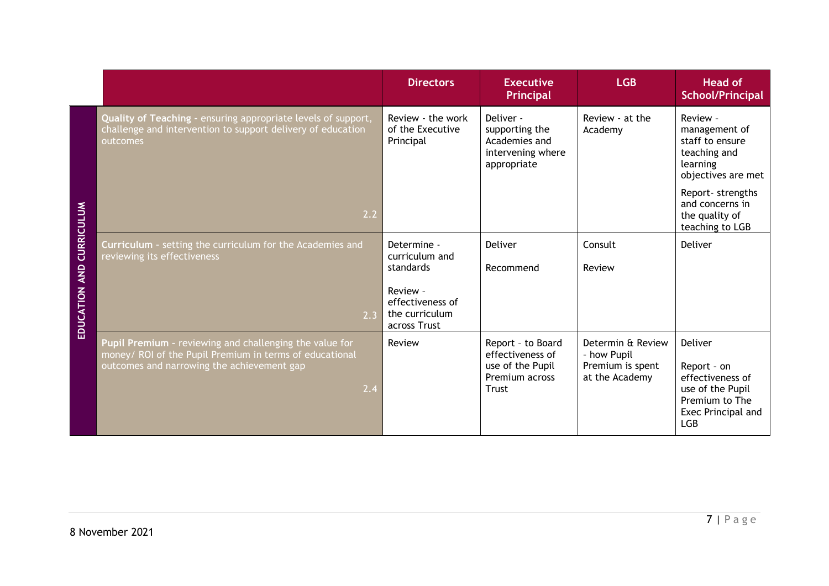|                                 |                                                                                                                                                                         | <b>Directors</b>                                               | <b>Executive</b><br><b>Principal</b>                                                        | <b>LGB</b>                                                             | <b>Head of</b><br><b>School/Principal</b>                                                                          |  |  |  |
|---------------------------------|-------------------------------------------------------------------------------------------------------------------------------------------------------------------------|----------------------------------------------------------------|---------------------------------------------------------------------------------------------|------------------------------------------------------------------------|--------------------------------------------------------------------------------------------------------------------|--|--|--|
|                                 | Quality of Teaching - ensuring appropriate levels of support,<br>challenge and intervention to support delivery of education<br>outcomes                                | Review - the work<br>of the Executive<br>Principal             | Deliver -<br>supporting the<br>Academies and<br>intervening where<br>appropriate            | Review - at the<br>Academy                                             | Review -<br>management of<br>staff to ensure<br>teaching and<br>learning<br>objectives are met<br>Report-strengths |  |  |  |
|                                 | 2.2                                                                                                                                                                     |                                                                |                                                                                             |                                                                        | and concerns in<br>the quality of<br>teaching to LGB                                                               |  |  |  |
| <b>EDUCATION AND CURRICULUM</b> | Curriculum - setting the curriculum for the Academies and<br>reviewing its effectiveness                                                                                | Determine -<br>curriculum and<br>standards                     | Deliver<br>Recommend                                                                        | Consult<br>Review                                                      | Deliver                                                                                                            |  |  |  |
|                                 | 2.3                                                                                                                                                                     | Review -<br>effectiveness of<br>the curriculum<br>across Trust |                                                                                             |                                                                        |                                                                                                                    |  |  |  |
|                                 | Pupil Premium - reviewing and challenging the value for<br>money/ ROI of the Pupil Premium in terms of educational<br>outcomes and narrowing the achievement gap<br>2.4 | Review                                                         | Report - to Board<br>effectiveness of<br>use of the Pupil<br>Premium across<br><b>Trust</b> | Determin & Review<br>- how Pupil<br>Premium is spent<br>at the Academy | Deliver<br>Report - on<br>effectiveness of<br>use of the Pupil<br>Premium to The<br>Exec Principal and<br>LGB      |  |  |  |
|                                 |                                                                                                                                                                         |                                                                |                                                                                             |                                                                        |                                                                                                                    |  |  |  |
|                                 | 7   Page<br>8 November 2021                                                                                                                                             |                                                                |                                                                                             |                                                                        |                                                                                                                    |  |  |  |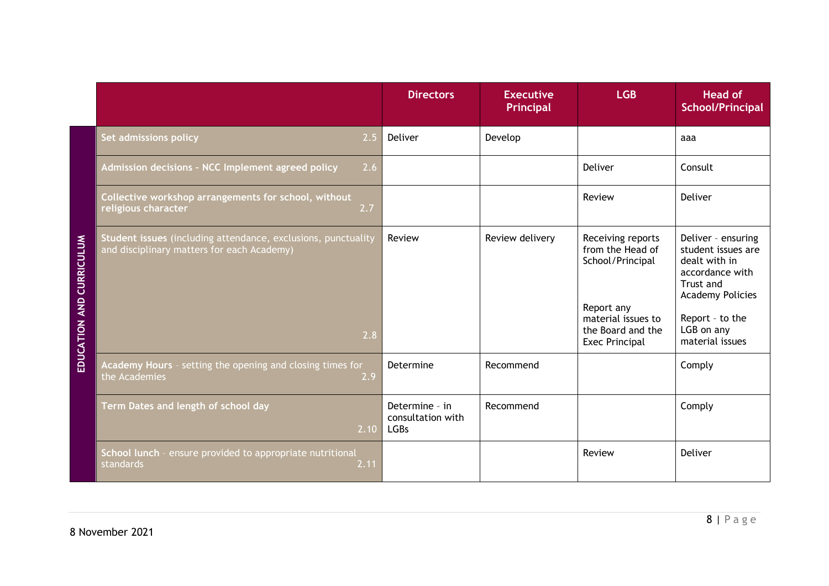|                                    |                                                                                                                    | <b>Directors</b>                                   | <b>Executive</b><br>Principal | <b>LGB</b>                                                                                                                                  | <b>Head of</b><br><b>School/Principal</b>                                                                                                                                |
|------------------------------------|--------------------------------------------------------------------------------------------------------------------|----------------------------------------------------|-------------------------------|---------------------------------------------------------------------------------------------------------------------------------------------|--------------------------------------------------------------------------------------------------------------------------------------------------------------------------|
|                                    | Set admissions policy<br>2.5                                                                                       | Deliver                                            | Develop                       |                                                                                                                                             | aaa                                                                                                                                                                      |
|                                    | Admission decisions - NCC Implement agreed policy<br>2.6                                                           |                                                    |                               | Deliver                                                                                                                                     | Consult                                                                                                                                                                  |
|                                    | Collective workshop arrangements for school, without<br>religious character<br>2.7                                 |                                                    |                               | Review                                                                                                                                      | Deliver                                                                                                                                                                  |
| <b>CURRICULUM</b><br>EDUCATION AND | Student issues (including attendance, exclusions, punctuality<br>and disciplinary matters for each Academy)<br>2.8 | Review                                             | Review delivery               | Receiving reports<br>from the Head of<br>School/Principal<br>Report any<br>material issues to<br>the Board and the<br><b>Exec Principal</b> | Deliver - ensuring<br>student issues are<br>dealt with in<br>accordance with<br>Trust and<br><b>Academy Policies</b><br>Report - to the<br>LGB on any<br>material issues |
|                                    | Academy Hours - setting the opening and closing times for<br>the Academies<br>2.9                                  | Determine                                          | Recommend                     |                                                                                                                                             | Comply                                                                                                                                                                   |
|                                    | Term Dates and length of school day<br>2.10                                                                        | Determine - in<br>consultation with<br><b>LGBs</b> | Recommend                     |                                                                                                                                             | Comply                                                                                                                                                                   |
|                                    | School lunch - ensure provided to appropriate nutritional<br>standards<br>2.11                                     |                                                    |                               | Review                                                                                                                                      | Deliver                                                                                                                                                                  |

8 November 2021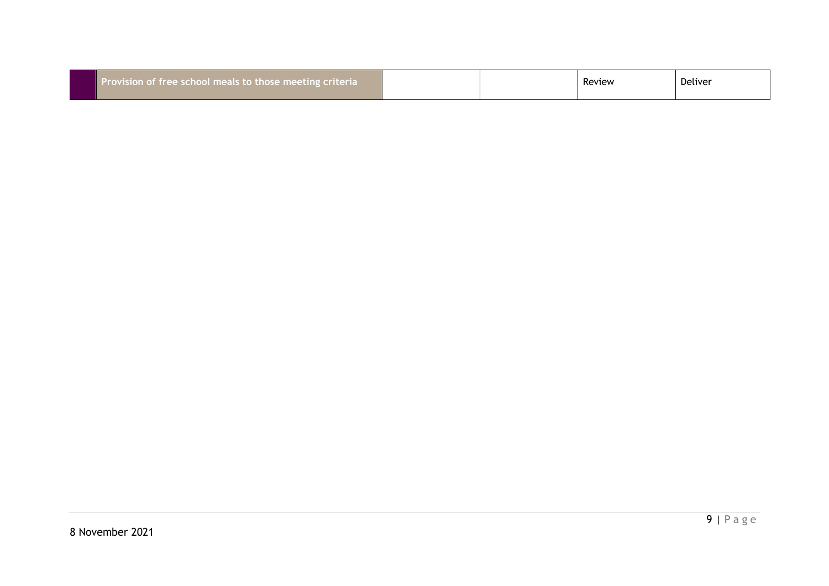| Provision of free school meals to those meeting criteria | Deliver<br>Review |
|----------------------------------------------------------|-------------------|
|----------------------------------------------------------|-------------------|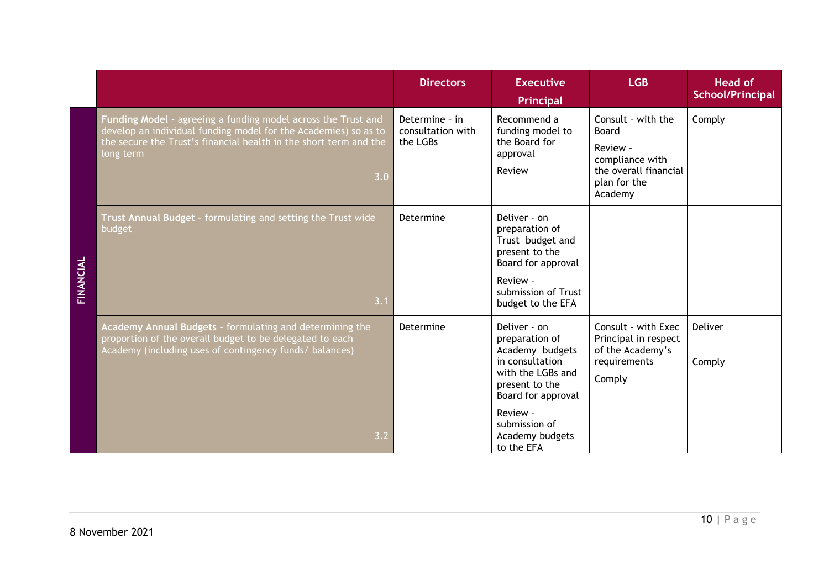|                 |                                                                                                                                                                                                                           | <b>Directors</b>                                | <b>Executive</b><br>Principal                                                                                                                      | <b>LGB</b>                                                                                                            | <b>Head of</b><br><b>School/Principal</b> |
|-----------------|---------------------------------------------------------------------------------------------------------------------------------------------------------------------------------------------------------------------------|-------------------------------------------------|----------------------------------------------------------------------------------------------------------------------------------------------------|-----------------------------------------------------------------------------------------------------------------------|-------------------------------------------|
| <b>INANCIAL</b> | Funding Model - agreeing a funding model across the Trust and<br>develop an individual funding model for the Academies) so as to<br>the secure the Trust's financial health in the short term and the<br>long term<br>3.0 | Determine - in<br>consultation with<br>the LGBs | Recommend a<br>funding model to<br>the Board for<br>approval<br>Review                                                                             | Consult - with the<br><b>Board</b><br>Review -<br>compliance with<br>the overall financial<br>plan for the<br>Academy | Comply                                    |
|                 | Trust Annual Budget - formulating and setting the Trust wide<br>budget<br>3.1                                                                                                                                             | Determine                                       | Deliver - on<br>preparation of<br>Trust budget and<br>present to the<br>Board for approval<br>Review -<br>submission of Trust<br>budget to the EFA |                                                                                                                       |                                           |
|                 | Academy Annual Budgets - formulating and determining the<br>proportion of the overall budget to be delegated to each<br>Academy (including uses of contingency funds/ balances)                                           | Determine                                       | Deliver - on<br>preparation of<br>Academy budgets<br>in consultation<br>with the LGBs and<br>present to the<br>Board for approval                  | Consult - with Exec<br>Principal in respect<br>of the Academy's<br>requirements<br>Comply                             | Deliver<br>Comply                         |
|                 | 3.2                                                                                                                                                                                                                       |                                                 | Review -<br>submission of<br>Academy budgets<br>to the EFA                                                                                         |                                                                                                                       |                                           |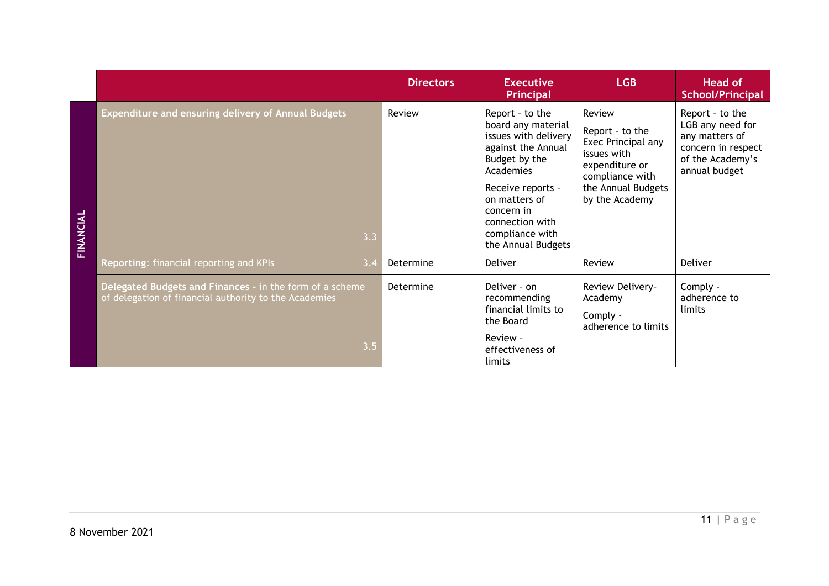|           |                                                                                                                   | <b>Directors</b> | <b>Executive</b><br>Principal                                                                                                                                                                                                     | <b>LGB</b>                                                                                                                                  | <b>Head of</b><br><b>School/Principal</b>                                                                        |
|-----------|-------------------------------------------------------------------------------------------------------------------|------------------|-----------------------------------------------------------------------------------------------------------------------------------------------------------------------------------------------------------------------------------|---------------------------------------------------------------------------------------------------------------------------------------------|------------------------------------------------------------------------------------------------------------------|
| FINANCIAL | <b>Expenditure and ensuring delivery of Annual Budgets</b><br>3.3                                                 | Review           | Report - to the<br>board any material<br>issues with delivery<br>against the Annual<br>Budget by the<br>Academies<br>Receive reports -<br>on matters of<br>concern in<br>connection with<br>compliance with<br>the Annual Budgets | Review<br>Report - to the<br>Exec Principal any<br>issues with<br>expenditure or<br>compliance with<br>the Annual Budgets<br>by the Academy | Report - to the<br>LGB any need for<br>any matters of<br>concern in respect<br>of the Academy's<br>annual budget |
|           | Reporting: financial reporting and KPIs<br>3.4                                                                    | Determine        | Deliver                                                                                                                                                                                                                           | Review                                                                                                                                      | Deliver                                                                                                          |
|           | Delegated Budgets and Finances - in the form of a scheme<br>of delegation of financial authority to the Academies | Determine        | Deliver - on<br>recommending<br>financial limits to<br>the Board                                                                                                                                                                  | Review Delivery-<br>Academy<br>Comply -<br>adherence to limits                                                                              | Comply -<br>adherence to<br>limits                                                                               |
|           | 3.5                                                                                                               |                  | Review -<br>effectiveness of<br>limits                                                                                                                                                                                            |                                                                                                                                             |                                                                                                                  |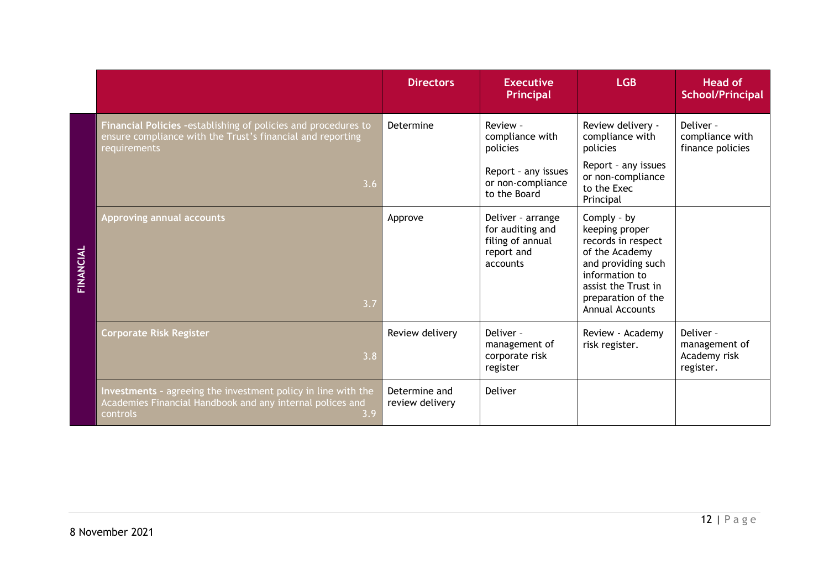|                  |                                                                                                                                               | <b>Directors</b>                 | <b>Executive</b><br>Principal                                                       | <b>LGB</b>                                                                                                                                                                           | <b>Head of</b><br><b>School/Principal</b>               |
|------------------|-----------------------------------------------------------------------------------------------------------------------------------------------|----------------------------------|-------------------------------------------------------------------------------------|--------------------------------------------------------------------------------------------------------------------------------------------------------------------------------------|---------------------------------------------------------|
|                  | Financial Policies -establishing of policies and procedures to<br>ensure compliance with the Trust's financial and reporting<br>requirements  | Determine                        | Review -<br>compliance with<br>policies                                             | Review delivery -<br>compliance with<br>policies                                                                                                                                     | Deliver -<br>compliance with<br>finance policies        |
| <b>TINANCIAL</b> | 3.6                                                                                                                                           |                                  | Report - any issues<br>or non-compliance<br>to the Board                            | Report - any issues<br>or non-compliance<br>to the Exec<br>Principal                                                                                                                 |                                                         |
|                  | Approving annual accounts<br>3.7                                                                                                              | Approve                          | Deliver - arrange<br>for auditing and<br>filing of annual<br>report and<br>accounts | Comply - by<br>keeping proper<br>records in respect<br>of the Academy<br>and providing such<br>information to<br>assist the Trust in<br>preparation of the<br><b>Annual Accounts</b> |                                                         |
|                  | <b>Corporate Risk Register</b><br>3.8                                                                                                         | Review delivery                  | Deliver -<br>management of<br>corporate risk<br>register                            | Review - Academy<br>risk register.                                                                                                                                                   | Deliver -<br>management of<br>Academy risk<br>register. |
|                  | Investments - agreeing the investment policy in line with the<br>Academies Financial Handbook and any internal polices and<br>controls<br>3.9 | Determine and<br>review delivery | Deliver                                                                             |                                                                                                                                                                                      |                                                         |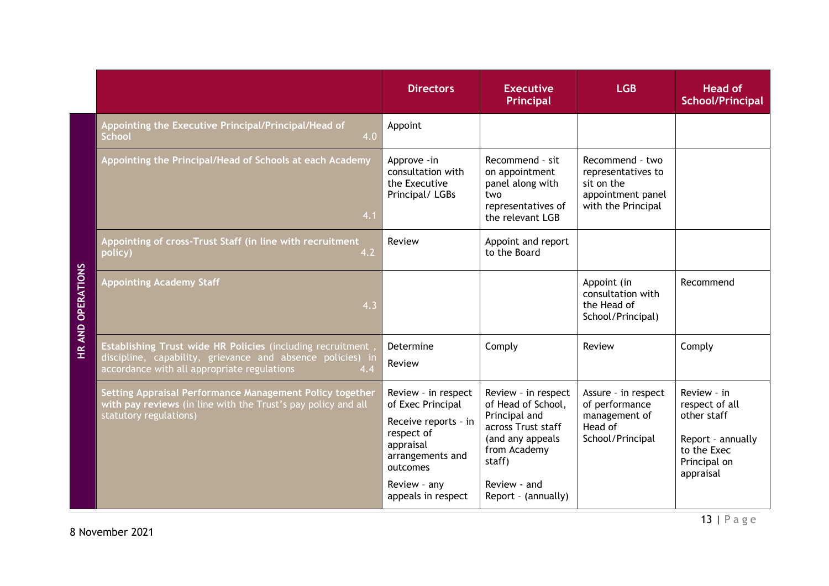|                   |                                                                                                                                                                                 | <b>Directors</b>                                                                                                                                                  | <b>Executive</b><br><b>Principal</b>                                                                                                                                  | <b>LGB</b>                                                                                     | <b>Head of</b><br><b>School/Principal</b>                                                                     |
|-------------------|---------------------------------------------------------------------------------------------------------------------------------------------------------------------------------|-------------------------------------------------------------------------------------------------------------------------------------------------------------------|-----------------------------------------------------------------------------------------------------------------------------------------------------------------------|------------------------------------------------------------------------------------------------|---------------------------------------------------------------------------------------------------------------|
|                   | Appointing the Executive Principal/Principal/Head of<br><b>School</b><br>4.0                                                                                                    | Appoint                                                                                                                                                           |                                                                                                                                                                       |                                                                                                |                                                                                                               |
|                   | Appointing the Principal/Head of Schools at each Academy<br>4.1                                                                                                                 | Approve - in<br>consultation with<br>the Executive<br>Principal/ LGBs                                                                                             | Recommend - sit<br>on appointment<br>panel along with<br>two<br>representatives of<br>the relevant LGB                                                                | Recommend - two<br>representatives to<br>sit on the<br>appointment panel<br>with the Principal |                                                                                                               |
|                   | Appointing of cross-Trust Staff (in line with recruitment<br>4.2<br>policy)                                                                                                     | Review                                                                                                                                                            | Appoint and report<br>to the Board                                                                                                                                    |                                                                                                |                                                                                                               |
| HR AND OPERATIONS | <b>Appointing Academy Staff</b><br>4.3                                                                                                                                          |                                                                                                                                                                   |                                                                                                                                                                       | Appoint (in<br>consultation with<br>the Head of<br>School/Principal)                           | Recommend                                                                                                     |
|                   | Establishing Trust wide HR Policies (including recruitment,<br>discipline, capability, grievance and absence policies) in<br>accordance with all appropriate regulations<br>4.4 | Determine<br>Review                                                                                                                                               | Comply                                                                                                                                                                | Review                                                                                         | Comply                                                                                                        |
|                   | Setting Appraisal Performance Management Policy together<br>with pay reviews (in line with the Trust's pay policy and all<br>statutory regulations)                             | Review - in respect<br>of Exec Principal<br>Receive reports - in<br>respect of<br>appraisal<br>arrangements and<br>outcomes<br>Review - any<br>appeals in respect | Review - in respect<br>of Head of School,<br>Principal and<br>across Trust staff<br>(and any appeals<br>from Academy<br>staff)<br>Review - and<br>Report - (annually) | Assure - in respect<br>of performance<br>management of<br>Head of<br>School/Principal          | Review - in<br>respect of all<br>other staff<br>Report - annually<br>to the Exec<br>Principal on<br>appraisal |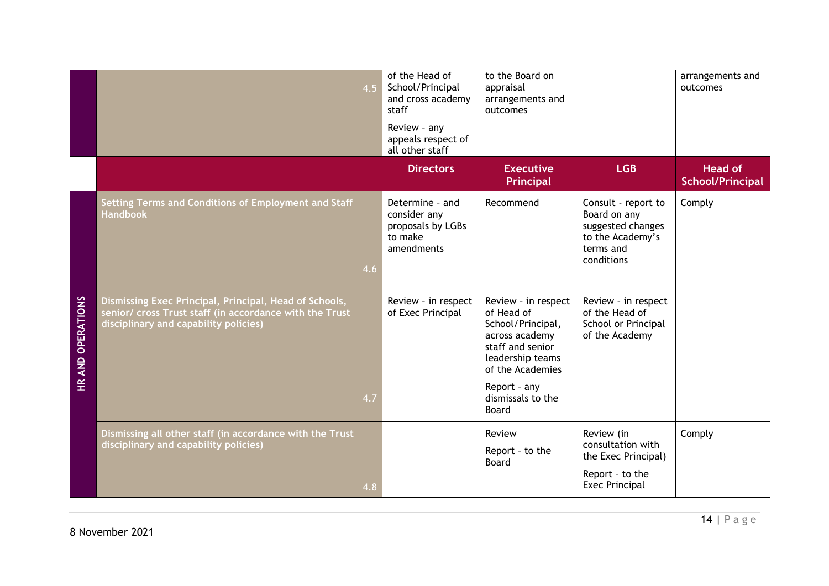|                          |                                                                                                                                                            | 4.5 | of the Head of<br>School/Principal<br>and cross academy<br>staff<br>Review - any<br>appeals respect of<br>all other staff | to the Board on<br>appraisal<br>arrangements and<br>outcomes                                                                                                                       |                                                                                                         | arrangements and<br>outcomes       |
|--------------------------|------------------------------------------------------------------------------------------------------------------------------------------------------------|-----|---------------------------------------------------------------------------------------------------------------------------|------------------------------------------------------------------------------------------------------------------------------------------------------------------------------------|---------------------------------------------------------------------------------------------------------|------------------------------------|
|                          |                                                                                                                                                            |     | <b>Directors</b>                                                                                                          | <b>Executive</b><br>Principal                                                                                                                                                      | <b>LGB</b>                                                                                              | <b>Head of</b><br>School/Principal |
|                          | Setting Terms and Conditions of Employment and Staff<br><b>Handbook</b>                                                                                    | 4.6 | Determine - and<br>consider any<br>proposals by LGBs<br>to make<br>amendments                                             | Recommend                                                                                                                                                                          | Consult - report to<br>Board on any<br>suggested changes<br>to the Academy's<br>terms and<br>conditions | Comply                             |
| <b>HR AND OPERATIONS</b> | Dismissing Exec Principal, Principal, Head of Schools,<br>senior/ cross Trust staff (in accordance with the Trust<br>disciplinary and capability policies) | 4.7 | Review - in respect<br>of Exec Principal                                                                                  | Review - in respect<br>of Head of<br>School/Principal,<br>across academy<br>staff and senior<br>leadership teams<br>of the Academies<br>Report - any<br>dismissals to the<br>Board | Review - in respect<br>of the Head of<br>School or Principal<br>of the Academy                          |                                    |
|                          | Dismissing all other staff (in accordance with the Trust<br>disciplinary and capability policies)                                                          | 4.8 |                                                                                                                           | Review<br>Report - to the<br>Board                                                                                                                                                 | Review (in<br>consultation with<br>the Exec Principal)<br>Report - to the<br><b>Exec Principal</b>      | Comply                             |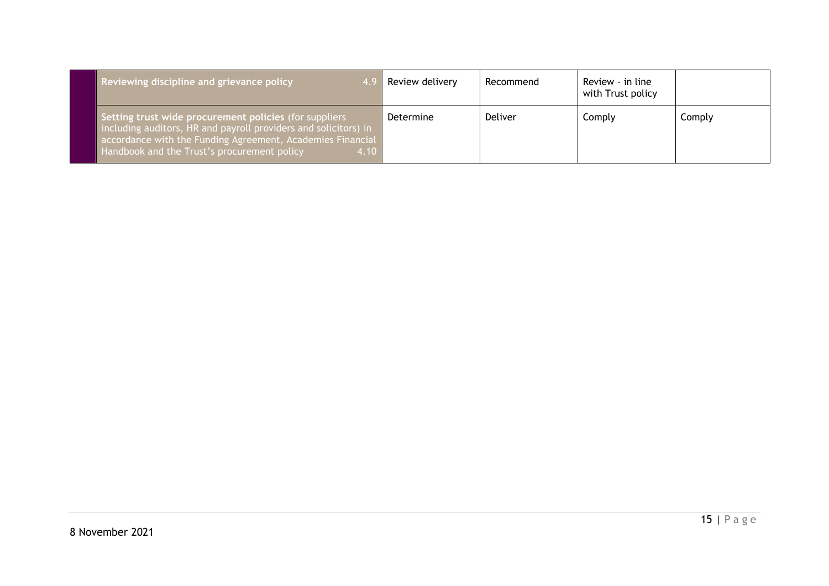| Reviewing discipline and grievance policy                                                                                                                                                                                                      | Review delivery | Recommend | Review - in line<br>with Trust policy |        |
|------------------------------------------------------------------------------------------------------------------------------------------------------------------------------------------------------------------------------------------------|-----------------|-----------|---------------------------------------|--------|
| Setting trust wide procurement policies (for suppliers<br>including auditors, HR and payroll providers and solicitors) in<br>accordance with the Funding Agreement, Academies Financial<br>Handbook and the Trust's procurement policy<br>4.10 | Determine       | Deliver   | Comply                                | Comply |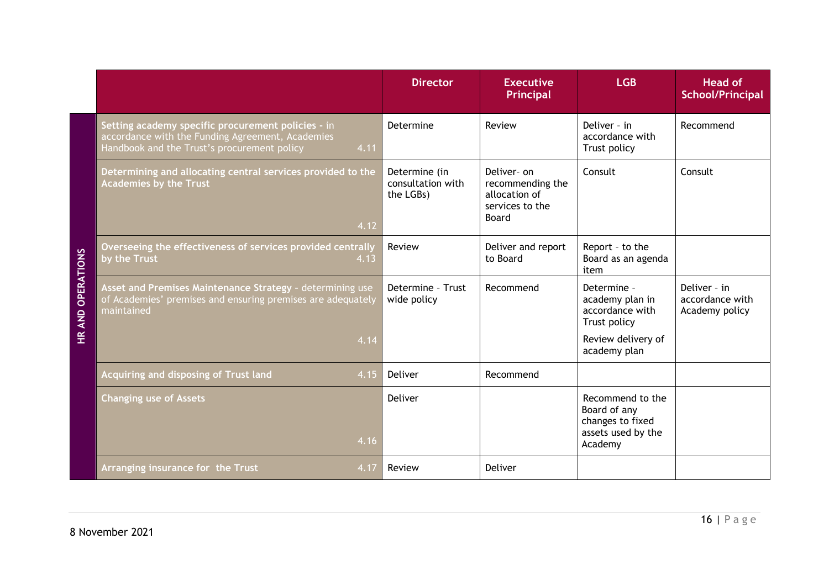|                                   |                                                                                                                                                               | <b>Director</b>                                 | <b>Executive</b><br><b>Principal</b>                                         | <b>LGB</b>                                                                            | <b>Head of</b><br>School/Principal                |
|-----------------------------------|---------------------------------------------------------------------------------------------------------------------------------------------------------------|-------------------------------------------------|------------------------------------------------------------------------------|---------------------------------------------------------------------------------------|---------------------------------------------------|
| <b>OPERATIONS</b><br><b>HRAND</b> | Setting academy specific procurement policies - in<br>accordance with the Funding Agreement, Academies<br>4.11<br>Handbook and the Trust's procurement policy | Determine                                       | Review                                                                       | Deliver - in<br>accordance with<br>Trust policy                                       | Recommend                                         |
|                                   | Determining and allocating central services provided to the<br><b>Academies by the Trust</b><br>4.12                                                          | Determine (in<br>consultation with<br>the LGBs) | Deliver- on<br>recommending the<br>allocation of<br>services to the<br>Board | Consult                                                                               | Consult                                           |
|                                   | Overseeing the effectiveness of services provided centrally<br>by the Trust<br>4.13                                                                           | Review                                          | Deliver and report<br>to Board                                               | Report - to the<br>Board as an agenda<br>item                                         |                                                   |
|                                   | Asset and Premises Maintenance Strategy - determining use<br>of Academies' premises and ensuring premises are adequately<br>maintained                        | Determine - Trust<br>wide policy                | Recommend                                                                    | Determine -<br>academy plan in<br>accordance with<br>Trust policy                     | Deliver - in<br>accordance with<br>Academy policy |
|                                   | 4.14                                                                                                                                                          |                                                 |                                                                              | Review delivery of<br>academy plan                                                    |                                                   |
|                                   | Acquiring and disposing of Trust land<br>4.15                                                                                                                 | Deliver                                         | Recommend                                                                    |                                                                                       |                                                   |
|                                   | <b>Changing use of Assets</b><br>4.16                                                                                                                         | Deliver                                         |                                                                              | Recommend to the<br>Board of any<br>changes to fixed<br>assets used by the<br>Academy |                                                   |
|                                   | 4.17<br>Arranging insurance for the Trust                                                                                                                     | Review                                          | Deliver                                                                      |                                                                                       |                                                   |